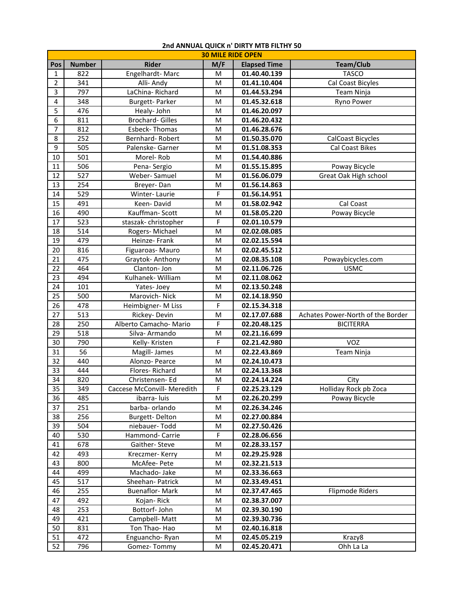|                 | <b>30 MILE RIDE OPEN</b> |                             |     |                     |                                   |  |  |  |  |
|-----------------|--------------------------|-----------------------------|-----|---------------------|-----------------------------------|--|--|--|--|
| Pos             | <b>Number</b>            | <b>Rider</b>                | M/F | <b>Elapsed Time</b> | Team/Club                         |  |  |  |  |
| $\mathbf{1}$    | 822                      | Engelhardt-Marc             | м   | 01.40.40.139        | <b>TASCO</b>                      |  |  |  |  |
| $\overline{2}$  | 341                      | Alli- Andy                  | M   | 01.41.10.404        | Cal Coast Bicyles                 |  |  |  |  |
| 3               | 797                      | LaChina-Richard             | M   | 01.44.53.294        | Team Ninja                        |  |  |  |  |
| 4               | 348                      | <b>Burgett-Parker</b>       | м   | 01.45.32.618        | Ryno Power                        |  |  |  |  |
| 5               | 476                      | Healy- John                 | M   | 01.46.20.097        |                                   |  |  |  |  |
| 6               | 811                      | <b>Brochard-Gilles</b>      | M   | 01.46.20.432        |                                   |  |  |  |  |
| 7               | 812                      | Esbeck-Thomas               | M   | 01.46.28.676        |                                   |  |  |  |  |
| 8               | 252                      | Bernhard-Robert             | M   | 01.50.35.070        | <b>CalCoast Bicycles</b>          |  |  |  |  |
| 9               | 505                      | Palenske- Garner            | M   | 01.51.08.353        | <b>Cal Coast Bikes</b>            |  |  |  |  |
| 10              | 501                      | Morel-Rob                   | M   | 01.54.40.886        |                                   |  |  |  |  |
| $11\,$          | 506                      | Pena-Sergio                 | M   | 01.55.15.895        | Poway Bicycle                     |  |  |  |  |
| 12              | 527                      | Weber-Samuel                | M   | 01.56.06.079        | Great Oak High school             |  |  |  |  |
| 13              | 254                      | Breyer-Dan                  | M   | 01.56.14.863        |                                   |  |  |  |  |
| $14\,$          | 529                      | Winter-Laurie               | F   | 01.56.14.951        |                                   |  |  |  |  |
| 15              | 491                      | Keen-David                  | M   | 01.58.02.942        | Cal Coast                         |  |  |  |  |
| 16              | 490                      | Kauffman-Scott              | M   | 01.58.05.220        | Poway Bicycle                     |  |  |  |  |
| 17              | 523                      | staszak-christopher         | F   | 02.01.10.579        |                                   |  |  |  |  |
| 18              | 514                      | Rogers-Michael              | M   | 02.02.08.085        |                                   |  |  |  |  |
| 19              | 479                      | Heinze-Frank                | M   | 02.02.15.594        |                                   |  |  |  |  |
| 20              | 816                      | Figuaroas-Mauro             | M   | 02.02.45.512        |                                   |  |  |  |  |
| 21              | 475                      | Graytok- Anthony            | M   | 02.08.35.108        | Powaybicycles.com                 |  |  |  |  |
| 22              | 464                      | Clanton-Jon                 | M   | 02.11.06.726        | <b>USMC</b>                       |  |  |  |  |
| 23              | 494                      | Kulhanek- William           | M   | 02.11.08.062        |                                   |  |  |  |  |
| 24              | 101                      | Yates-Joey                  | M   | 02.13.50.248        |                                   |  |  |  |  |
| 25              | 500                      | Marovich-Nick               | M   | 02.14.18.950        |                                   |  |  |  |  |
| 26              | 478                      | Heimbigner-M Liss           | F   | 02.15.34.318        |                                   |  |  |  |  |
| 27              | 513                      | Rickey-Devin                | M   | 02.17.07.688        | Achates Power-North of the Border |  |  |  |  |
| 28              | 250                      | Alberto Camacho- Mario      | F   | 02.20.48.125        | <b>BICITERRA</b>                  |  |  |  |  |
| 29              | 518                      | Silva- Armando              | M   | 02.21.16.699        |                                   |  |  |  |  |
| 30              | 790                      | Kelly- Kristen              | F   | 02.21.42.980        | <b>VOZ</b>                        |  |  |  |  |
| 31              | 56                       | Magill- James               | M   | 02.22.43.869        | <b>Team Ninja</b>                 |  |  |  |  |
| 32              | 440                      | Alonzo- Pearce              | M   | 02.24.10.473        |                                   |  |  |  |  |
| 33              | 444                      | Flores-Richard              | M   | 02.24.13.368        |                                   |  |  |  |  |
| 34              | 820                      | Christensen-Ed              | M   | 02.24.14.224        | City                              |  |  |  |  |
| $\overline{35}$ | 349                      | Caccese McConvill- Meredith | F   | 02.25.23.129        | Holliday Rock pb Zoca             |  |  |  |  |
| 36              | 485                      | ibarra-luis                 | M   | 02.26.20.299        | Poway Bicycle                     |  |  |  |  |
| 37              | 251                      | barba- orlando              | M   | 02.26.34.246        |                                   |  |  |  |  |
| 38              | 256                      | <b>Burgett-Delton</b>       | M   | 02.27.00.884        |                                   |  |  |  |  |
| 39              | 504                      | niebauer-Todd               | M   | 02.27.50.426        |                                   |  |  |  |  |
| 40              | 530                      | Hammond- Carrie             | F   | 02.28.06.656        |                                   |  |  |  |  |
| 41              | 678                      | Gaither-Steve               | M   | 02.28.33.157        |                                   |  |  |  |  |
| 42              | 493                      | Kreczmer-Kerry              | M   | 02.29.25.928        |                                   |  |  |  |  |
| 43              | 800                      | McAfee-Pete                 | M   | 02.32.21.513        |                                   |  |  |  |  |
| 44              | 499                      | Machado-Jake                | M   | 02.33.36.663        |                                   |  |  |  |  |
| 45              | 517                      | Sheehan- Patrick            | M   | 02.33.49.451        |                                   |  |  |  |  |
| 46              | 255                      | <b>Buenaflor-Mark</b>       | M   | 02.37.47.465        | Flipmode Riders                   |  |  |  |  |
| 47              | 492                      | Kojan-Rick                  | M   | 02.38.37.007        |                                   |  |  |  |  |
| 48              | 253                      | Bottorf- John               | M   | 02.39.30.190        |                                   |  |  |  |  |
| 49              | 421                      | Campbell- Matt              | M   | 02.39.30.736        |                                   |  |  |  |  |
| 50              | 831                      | Ton Thao- Hao               | M   | 02.40.16.818        |                                   |  |  |  |  |
| 51              | 472                      | Enguancho-Ryan              | M   | 02.45.05.219        | Krazy8                            |  |  |  |  |
| 52              | 796                      | Gomez-Tommy                 | M   | 02.45.20.471        | Ohh La La                         |  |  |  |  |

## **2nd ANNUAL QUICK n' DIRTY MTB FILTHY 50**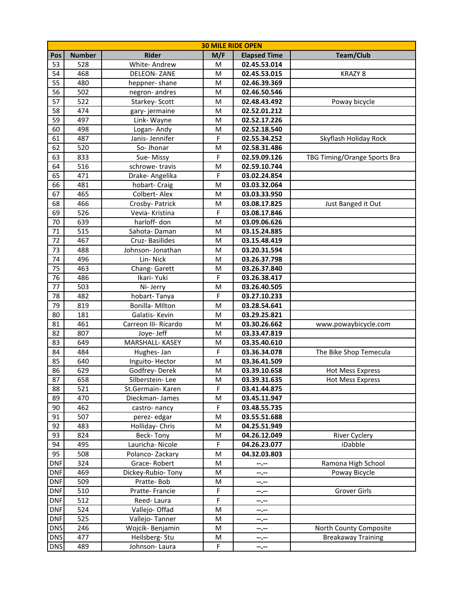| <b>30 MILE RIDE OPEN</b> |                  |                               |             |                              |                              |  |  |  |
|--------------------------|------------------|-------------------------------|-------------|------------------------------|------------------------------|--|--|--|
| Pos                      | <b>Number</b>    | <b>Rider</b>                  | M/F         | <b>Elapsed Time</b>          | <b>Team/Club</b>             |  |  |  |
| 53                       | 528              | White-Andrew                  | M           | 02.45.53.014                 |                              |  |  |  |
| 54                       | 468              | <b>DELEON-ZANE</b>            | M           | 02.45.53.015                 | KRAZY <sub>8</sub>           |  |  |  |
| 55                       | 480              | heppner-shane                 | M           | 02.46.39.369                 |                              |  |  |  |
| 56                       | 502              | negron-andres                 | M           | 02.46.50.546                 |                              |  |  |  |
| 57                       | 522              | Starkey- Scott                | M           | 02.48.43.492                 | Poway bicycle                |  |  |  |
| 58                       | 474              | gary-jermaine                 | M           | 02.52.01.212                 |                              |  |  |  |
| 59                       | 497              | Link-Wayne                    | M           | 02.52.17.226                 |                              |  |  |  |
| 60                       | 498              | Logan-Andy                    | M           | 02.52.18.540                 |                              |  |  |  |
| 61                       | 487              | Janis-Jennifer                | F           | 02.55.34.252                 | Skyflash Holiday Rock        |  |  |  |
| 62                       | $\overline{520}$ | So-Jhonar                     | M           | 02.58.31.486                 |                              |  |  |  |
| 63                       | 833              | Sue-Missy                     | F           | 02.59.09.126                 | TBG Timing/Orange Sports Bra |  |  |  |
| 64                       | 516              | schrowe-travis                | M           | 02.59.10.744                 |                              |  |  |  |
| 65                       | 471              | Drake- Angelika               | F           | 03.02.24.854                 |                              |  |  |  |
| 66                       | 481              | hobart- Craig                 | M           | 03.03.32.064                 |                              |  |  |  |
| 67                       | 465              | Colbert-Alex                  | M           | 03.03.33.950                 |                              |  |  |  |
| 68                       | 466              | Crosby- Patrick               | M           | 03.08.17.825                 | Just Banged it Out           |  |  |  |
| 69                       | 526              | Vevia- Kristina               | F           | 03.08.17.846                 |                              |  |  |  |
| 70                       | 639              | harloff- don                  | M           | 03.09.06.626                 |                              |  |  |  |
| 71                       | 515              | Sahota-Daman                  | M           | 03.15.24.885                 |                              |  |  |  |
| 72                       | 467              | Cruz-Basilides                | M           | 03.15.48.419                 |                              |  |  |  |
| 73                       | 488              | Johnson-Jonathan              | M           | 03.20.31.594                 |                              |  |  |  |
| 74                       | 496              | Lin-Nick                      | M           | 03.26.37.798                 |                              |  |  |  |
| 75                       | 463              | Chang-Garett                  | M           | 03.26.37.840                 |                              |  |  |  |
| 76                       | 486              | Ikari-Yuki                    | F           | 03.26.38.417                 |                              |  |  |  |
| 77                       | 503              | Ni- Jerry                     | M           | 03.26.40.505                 |                              |  |  |  |
| 78                       | 482              | hobart-Tanya                  | F           | 03.27.10.233                 |                              |  |  |  |
| 79                       | 819              | Bonilla-MIlton                | M           | 03.28.54.641                 |                              |  |  |  |
| 80                       | 181              | Galatis-Kevin                 | M           | 03.29.25.821                 |                              |  |  |  |
| 81                       | 461              | Carreon III- Ricardo          | M           | 03.30.26.662                 | www.powaybicycle.com         |  |  |  |
| 82                       | 807<br>649       | Joye- Jeff<br>MARSHALL- KASEY | M           | 03.33.47.819<br>03.35.40.610 |                              |  |  |  |
| 83                       | 484              |                               | M<br>F      | 03.36.34.078                 |                              |  |  |  |
| 84<br>85                 | 640              | Hughes-Jan<br>Inguito-Hector  | M           | 03.36.41.509                 | The Bike Shop Temecula       |  |  |  |
| 86                       | 629              | Godfrey-Derek                 | M           | 03.39.10.658                 | <b>Hot Mess Express</b>      |  |  |  |
| 87                       | 658              | Silberstein-Lee               | $\sf M$     | 03.39.31.635                 | Hot Mess Express             |  |  |  |
| 88                       | 521              | St.Germain- Karen             | F           | 03.41.44.875                 |                              |  |  |  |
| 89                       | 470              | Dieckman-James                | M           | 03.45.11.947                 |                              |  |  |  |
| 90                       | 462              | castro-nancy                  | F           | 03.48.55.735                 |                              |  |  |  |
| 91                       | 507              | perez-edgar                   | M           | 03.55.51.688                 |                              |  |  |  |
| 92                       | 483              | Holliday- Chris               | M           | 04.25.51.949                 |                              |  |  |  |
| 93                       | 824              | Beck-Tony                     | ${\sf M}$   | 04.26.12.049                 | <b>River Cyclery</b>         |  |  |  |
| 94                       | 495              | Lauricha-Nicole               | F           | 04.26.23.077                 | iDabble                      |  |  |  |
| 95                       | 508              | Polanco-Zackary               | M           | 04.32.03.803                 |                              |  |  |  |
| <b>DNF</b>               | 324              | Grace-Robert                  | M           | --.--                        | Ramona High School           |  |  |  |
| <b>DNF</b>               | 469              | Dickey-Rubio-Tony             | M           | --.--                        | Poway Bicycle                |  |  |  |
| <b>DNF</b>               | 509              | Pratte-Bob                    | M           | --.--                        |                              |  |  |  |
| <b>DNF</b>               | 510              | Pratte-Francie                | $\mathsf F$ | --.--                        | Grover Girls                 |  |  |  |
| <b>DNF</b>               | 512              | Reed-Laura                    | F           | --.--                        |                              |  |  |  |
| <b>DNF</b>               | 524              | Vallejo-Offad                 | M           | --.--                        |                              |  |  |  |
| <b>DNF</b>               | 525              | Vallejo-Tanner                | M           | --.--                        |                              |  |  |  |
| DNS                      | 246              | Wojcik-Benjamin               | M           | --.--                        | North County Composite       |  |  |  |
| <b>DNS</b>               | 477              | Heilsberg-Stu                 | M           | --.--                        | <b>Breakaway Training</b>    |  |  |  |
| <b>DNS</b>               | 489              | Johnson-Laura                 | $\mathsf F$ | --.--                        |                              |  |  |  |